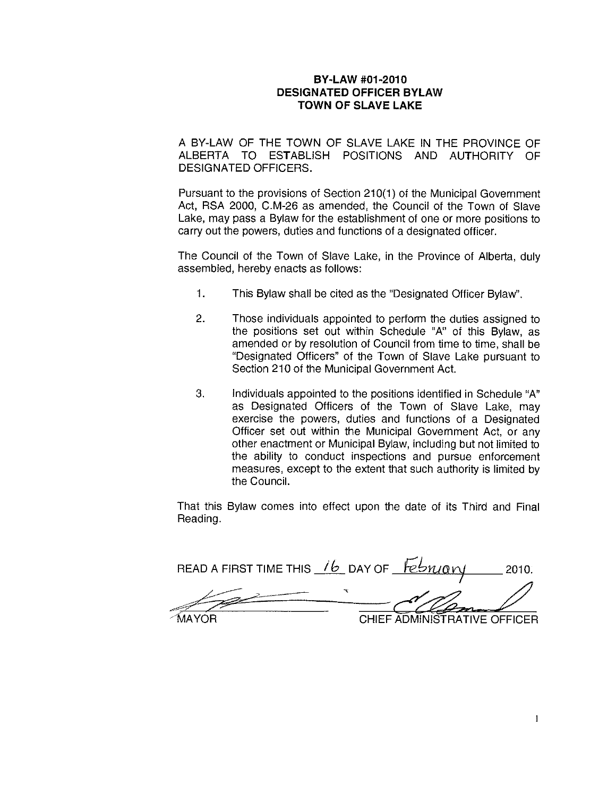## BY-LAW #01-2010 DESIGNATED OFFICER BYLAW TOWN OF SLAVE LAKE

A BY-LAW OF THE TOWN OF SLAVE LAKE IN THE PROVINCE OF ALBERTA TO ESTABLISH POSITIONS AND AUTHORITY OF DESIGNATED OFFICERS.

Pursuant to the provisions of Section 210(1) of the Municipal Government Act, RSA 2000, C.M-26 as amended, the Council of the Town of Slave Lake, may pass a Bylaw for the establishment of one or more positions to carry out the powers, duties and functions of a designated officer.

The Council of the Town of Slave Lake, in the Province of Alberta, duly assembled, hereby enacts as follows:

- 1. This Bylaw shall be cited as the "Designated Officer Bylaw".
- 2. Those individuals appointed to perform the duties assigned to the positions set out within Schedule "A" of this Bylaw, as amended or by resolution of Council from time to time, shall be "Designated Officers" of the Town of Slave Lake pursuant to Section 210 of the Municipal Government Act.
- 3. Individuals appointed to the positions identified in Schedule "A" as Designated Officers of the Town of Slave Lake, may exercise the powers, duties and functions of a Designated Officer set out within the Municipal Government Act, or any other enactment or Municipal Bylaw, including but not limited to the ability to conduct inspections and pursue enforcement measures, except to the extent that such authority is limited by the Council.

That this Bylaw comes into effect upon the date of its Third and Final Reading.

READ A FIRST TIME THIS 16 DAY OF February 2010. **MAYOR CHIEF ADMINISTRATIVE OFFICER**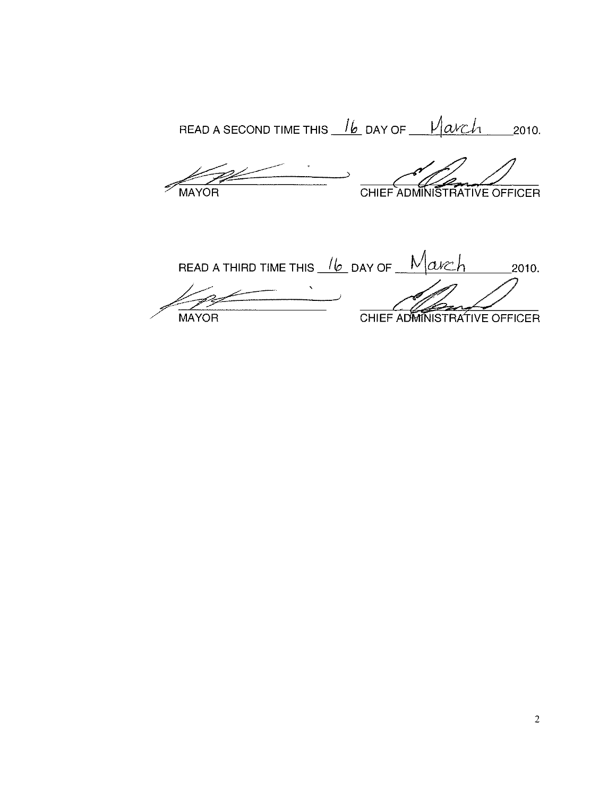READ A SECOND TIME THIS  $\frac{1}{b}$  DAY OF  $\frac{1}{a}$   $\frac{1}{a}$  2010.

MAYOR

CHIEF ADMINISTRATIVE OFFICER

READ A THIRD TIME THIS  $\frac{1}{b}$  DAY OF  $\frac{1}{a}$   $\frac{1}{a}$  $2010.$ CHIEF ADMINISTRATIVE OFFICER **MAYOR**